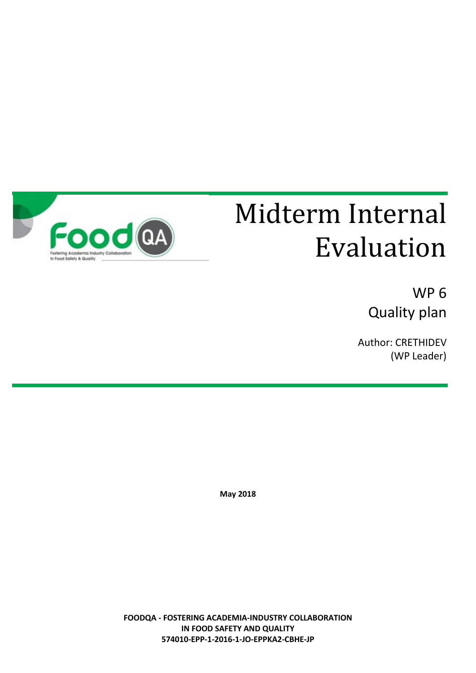

# Midterm Internal Food CA Evaluation

WP 6 Quality plan

Author: CRETHIDEV (WP Leader)

**May 2018**

**FOODQA - FOSTERING ACADEMIA-INDUSTRY COLLABORATION IN FOOD SAFETY AND QUALITY 574010-EPP-1-2016-1-JO-EPPKA2-CBHE-JP**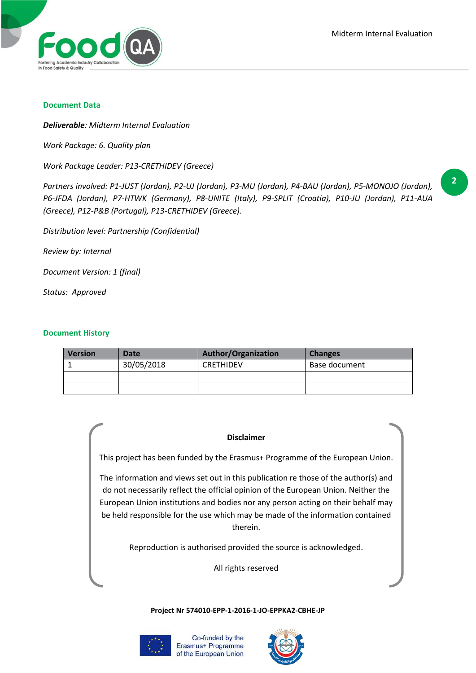

#### **Document Data**

*Deliverable: Midterm Internal Evaluation*

*Work Package: 6. Quality plan*

*Work Package Leader: P13-CRETHIDEV (Greece)*

*Partners involved: P1-JUST (Jordan), P2-UJ (Jordan), P3-MU (Jordan), P4-BAU (Jordan), P5-MONOJO (Jordan), P6-JFDA (Jordan), P7-HTWK (Germany), P8-UNITE (Italy), P9-SPLIT (Croatia), P10-JU (Jordan), P11-AUA (Greece), P12-P&B (Portugal), P13-CRETHIDEV (Greece).*

*Distribution level: Partnership (Confidential)*

*Review by: Internal*

*Document Version: 1 (final)*

*Status: Approved*

#### **Document History**

| Version | Date       | <b>Author/Organization</b> | <b>Changes</b> |  |  |
|---------|------------|----------------------------|----------------|--|--|
|         | 30/05/2018 | <b>CRETHIDEV</b>           | Base document  |  |  |
|         |            |                            |                |  |  |
|         |            |                            |                |  |  |

#### **Disclaimer**

This project has been funded by the Erasmus+ Programme of the European Union.

The information and views set out in this publication re those of the author(s) and do not necessarily reflect the official opinion of the European Union. Neither the European Union institutions and bodies nor any person acting on their behalf may be held responsible for the use which may be made of the information contained therein.

Reproduction is authorised provided the source is acknowledged.

All rights reserved

#### **Project Nr 574010-EPP-1-2016-1-JO-EPPKA2-CBHE-JP**



Co-funded by the Erasmus+ Programme of the European Union

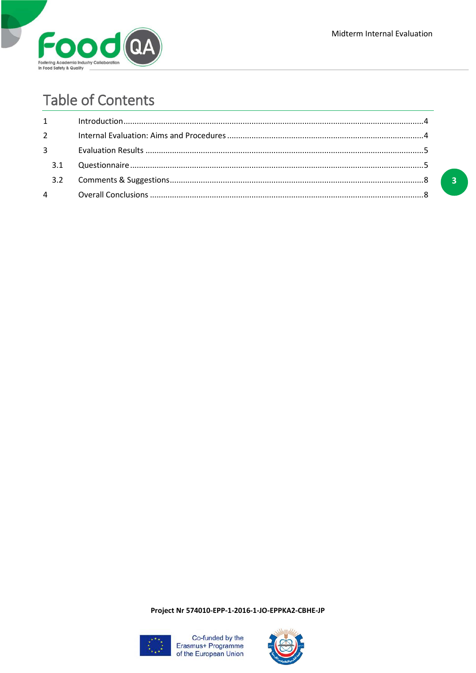



# **Table of Contents**

| $2^{\sim}$  |  |
|-------------|--|
| $3^{\circ}$ |  |
|             |  |
|             |  |
|             |  |



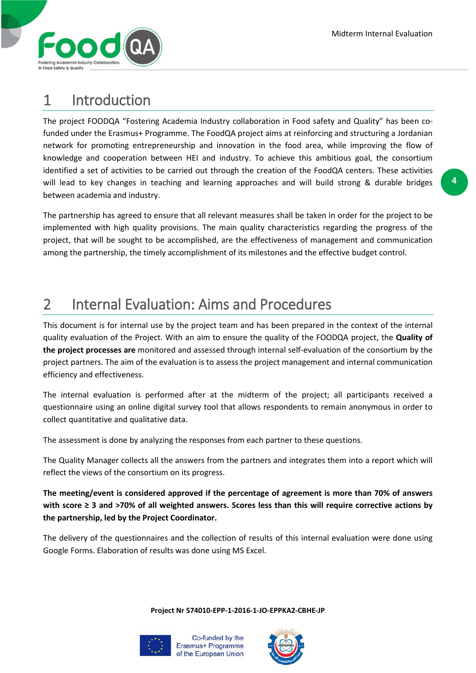

## 1 Introduction

The project FOODQA "Fostering Academia Industry collaboration in Food safety and Quality" has been cofunded under the Erasmus+ Programme. The FoodQA project aims at reinforcing and structuring a Jordanian network for promoting entrepreneurship and innovation in the food area, while improving the flow of knowledge and cooperation between HEI and industry. To achieve this ambitious goal, the consortium identified a set of activities to be carried out through the creation of the FoodQA centers. These activities will lead to key changes in teaching and learning approaches and will build strong & durable bridges between academia and industry.

The partnership has agreed to ensure that all relevant measures shall be taken in order for the project to be implemented with high quality provisions. The main quality characteristics regarding the progress of the project, that will be sought to be accomplished, are the effectiveness of management and communication among the partnership, the timely accomplishment of its milestones and the effective budget control.

# 2 Internal Evaluation: Aims and Procedures

This document is for internal use by the project team and has been prepared in the context of the internal quality evaluation of the Project. With an aim to ensure the quality of the FOODQA project, the **Quality of the project processes are** monitored and assessed through internal self-evaluation of the consortium by the project partners. The aim of the evaluation is to assess the project management and internal communication efficiency and effectiveness.

The internal evaluation is performed after at the midterm of the project; all participants received a questionnaire using an online digital survey tool that allows respondents to remain anonymous in order to collect quantitative and qualitative data.

The assessment is done by analyzing the responses from each partner to these questions.

The Quality Manager collects all the answers from the partners and integrates them into a report which will reflect the views of the consortium on its progress.

**The meeting/event is considered approved if the percentage of agreement is more than 70% of answers with score ≥ 3 and >70% of all weighted answers. Scores less than this will require corrective actions by the partnership, led by the Project Coordinator.**

The delivery of the questionnaires and the collection of results of this internal evaluation were done using Google Forms. Elaboration of results was done using MS Excel.



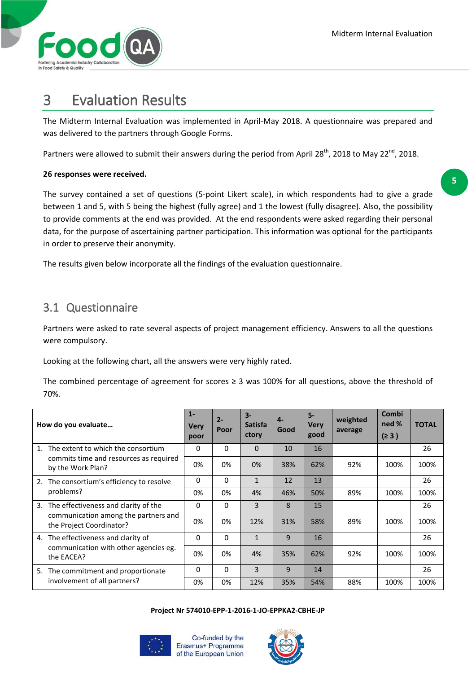

## 3 Evaluation Results

The Midterm Internal Evaluation was implemented in April-May 2018. A questionnaire was prepared and was delivered to the partners through Google Forms.

Partners were allowed to submit their answers during the period from April 28<sup>th</sup>, 2018 to May 22<sup>nd</sup>, 2018.

### **26 responses were received.**

The survey contained a set of questions (5-point Likert scale), in which respondents had to give a grade between 1 and 5, with 5 being the highest (fully agree) and 1 the lowest (fully disagree). Also, the possibility to provide comments at the end was provided. At the end respondents were asked regarding their personal data, for the purpose of ascertaining partner participation. This information was optional for the participants in order to preserve their anonymity.

The results given below incorporate all the findings of the evaluation questionnaire.

### 3.1 Questionnaire

Partners were asked to rate several aspects of project management efficiency. Answers to all the questions were compulsory.

Looking at the following chart, all the answers were very highly rated.

The combined percentage of agreement for scores  $\geq$  3 was 100% for all questions, above the threshold of 70%.

| How do you evaluate |                                                                                                             | $1 -$<br>Very<br>poor | $2 -$<br>Poor | $3-$<br><b>Satisfa</b><br>ctory | $\mathbf{4}$<br>Good | $5-$<br><b>Very</b><br>good | weighted<br>average | Combi<br>ned %<br>(≥ 3) | <b>TOTAL</b> |
|---------------------|-------------------------------------------------------------------------------------------------------------|-----------------------|---------------|---------------------------------|----------------------|-----------------------------|---------------------|-------------------------|--------------|
| $1_{-}$             | The extent to which the consortium<br>commits time and resources as required<br>by the Work Plan?           | 0                     | 0             | $\Omega$                        | 10                   | 16                          |                     |                         | 26           |
|                     |                                                                                                             | 0%                    | 0%            | 0%                              | 38%                  | 62%                         | 92%                 | 100%                    | 100%         |
|                     | 2. The consortium's efficiency to resolve<br>problems?                                                      | 0                     | 0             | $\mathbf{1}$                    | 12                   | 13                          |                     |                         | 26           |
|                     |                                                                                                             | 0%                    | 0%            | 4%                              | 46%                  | 50%                         | 89%                 | 100%                    | 100%         |
|                     | 3. The effectiveness and clarity of the<br>communication among the partners and<br>the Project Coordinator? | 0                     | 0             | 3                               | 8                    | 15                          |                     |                         | 26           |
|                     |                                                                                                             | 0%                    | 0%            | 12%                             | 31%                  | 58%                         | 89%                 | 100%                    | 100%         |
|                     | 4. The effectiveness and clarity of<br>communication with other agencies eg.<br>the EACEA?                  | 0                     | 0             | $\mathbf{1}$                    | 9                    | 16                          |                     |                         | 26           |
|                     |                                                                                                             | 0%                    | 0%            | 4%                              | 35%                  | 62%                         | 92%                 | 100%                    | 100%         |
|                     | 5. The commitment and proportionate<br>involvement of all partners?                                         | 0                     | $\Omega$      | 3                               | 9                    | 14                          |                     |                         | 26           |
|                     |                                                                                                             | 0%                    | 0%            | 12%                             | 35%                  | 54%                         | 88%                 | 100%                    | 100%         |

#### **Project Nr 574010-EPP-1-2016-1-JO-EPPKA2-CBHE-JP**



Co-funded by the Erasmus+ Programme of the European Union

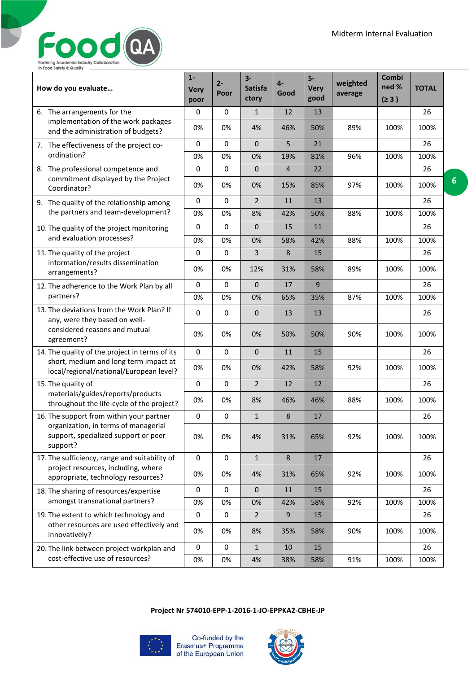### Food  ${\bf Q}$ Fostering Academia Industry Collaboration<br>In Food Safety & Quality

| How do you evaluate                                                                      | $1 -$<br><b>Very</b><br>poor | $2 -$<br>Poor | $3-$<br><b>Satisfa</b><br>ctory | 4-<br>Good     | $5-$<br><b>Very</b><br>good | weighted<br>average | Combi<br>ned %<br>(≥ 3) | <b>TOTAL</b> |
|------------------------------------------------------------------------------------------|------------------------------|---------------|---------------------------------|----------------|-----------------------------|---------------------|-------------------------|--------------|
| 6. The arrangements for the                                                              | 0                            | 0             | $\mathbf{1}$                    | 12             | 13                          |                     |                         | 26           |
| implementation of the work packages<br>and the administration of budgets?                | 0%                           | 0%            | 4%                              | 46%            | 50%                         | 89%                 | 100%                    | 100%         |
| 7. The effectiveness of the project co-                                                  | 0                            | 0             | $\mathbf{0}$                    | 5              | 21                          |                     |                         | 26           |
| ordination?                                                                              | 0%                           | 0%            | 0%                              | 19%            | 81%                         | 96%                 | 100%                    | 100%         |
| 8. The professional competence and<br>commitment displayed by the Project                | 0                            | 0             | $\mathbf{0}$                    | $\overline{4}$ | 22                          |                     |                         | 26           |
| Coordinator?                                                                             | 0%                           | 0%            | 0%                              | 15%            | 85%                         | 97%                 | 100%                    | 100%         |
| 9. The quality of the relationship among                                                 | 0                            | 0             | $\overline{2}$                  | 11             | 13                          |                     |                         | 26           |
| the partners and team-development?                                                       | 0%                           | 0%            | 8%                              | 42%            | 50%                         | 88%                 | 100%                    | 100%         |
| 10. The quality of the project monitoring                                                | 0                            | $\Omega$      | $\mathbf{0}$                    | 15             | 11                          |                     |                         | 26           |
| and evaluation processes?                                                                | 0%                           | 0%            | 0%                              | 58%            | 42%                         | 88%                 | 100%                    | 100%         |
| 11. The quality of the project                                                           | 0                            | 0             | 3                               | 8              | 15                          |                     |                         | 26           |
| information/results dissemination<br>arrangements?                                       | 0%                           | 0%            | 12%                             | 31%            | 58%                         | 89%                 | 100%                    | 100%         |
| 12. The adherence to the Work Plan by all                                                | 0                            | $\mathbf 0$   | $\mathbf 0$                     | 17             | 9                           |                     |                         | 26           |
| partners?                                                                                | 0%                           | 0%            | 0%                              | 65%            | 35%                         | 87%                 | 100%                    | 100%         |
| 13. The deviations from the Work Plan? If<br>any, were they based on well-               | 0                            | 0             | $\mathbf{0}$                    | 13             | 13                          |                     |                         | 26           |
| considered reasons and mutual<br>agreement?                                              | 0%                           | 0%            | 0%                              | 50%            | 50%                         | 90%                 | 100%                    | 100%         |
| 14. The quality of the project in terms of its                                           | 0                            | 0             | $\mathbf 0$                     | 11             | 15                          |                     |                         | 26           |
| short, medium and long term impact at<br>local/regional/national/European level?         | 0%                           | 0%            | 0%                              | 42%            | 58%                         | 92%                 | 100%                    | 100%         |
| 15. The quality of                                                                       | 0                            | 0             | $\overline{2}$                  | 12             | 12                          |                     |                         | 26           |
| materials/guides/reports/products<br>throughout the life-cycle of the project?           | 0%                           | 0%            | 8%                              | 46%            | 46%                         | 88%                 | 100%                    | 100%         |
| 16. The support from within your partner                                                 | 0                            | 0             | $\mathbf{1}$                    | 8              | 17                          |                     |                         | 26           |
| organization, in terms of managerial<br>support, specialized support or peer<br>support? | 0%                           | 0%            | 4%                              | 31%            | 65%                         | 92%                 | 100%                    | 100%         |
| 17. The sufficiency, range and suitability of                                            | 0                            | $\pmb{0}$     | $\mathbf 1$                     | 8              | 17                          |                     |                         | 26           |
| project resources, including, where<br>appropriate, technology resources?                | 0%                           | 0%            | 4%                              | 31%            | 65%                         | 92%                 | 100%                    | 100%         |
| 18. The sharing of resources/expertise                                                   | 0                            | 0             | $\mathbf{0}$                    | 11             | 15                          |                     |                         | 26           |
| amongst transnational partners?                                                          | 0%                           | 0%            | 0%                              | 42%            | 58%                         | 92%                 | 100%                    | 100%         |
| 19. The extent to which technology and                                                   | 0                            | $\pmb{0}$     | $\overline{2}$                  | 9              | 15                          |                     |                         | 26           |
| other resources are used effectively and<br>innovatively?                                | 0%                           | 0%            | 8%                              | 35%            | 58%                         | 90%                 | 100%                    | 100%         |
| 20. The link between project workplan and                                                | 0                            | 0             | $\mathbf{1}$                    | 10             | 15                          |                     |                         | 26           |
| cost-effective use of resources?                                                         | 0%                           | 0%            | 4%                              | 38%            | 58%                         | 91%                 | 100%                    | 100%         |

**Project Nr 574010-EPP-1-2016-1-JO-EPPKA2-CBHE-JP**



Co-funded by the<br>Erasmus+ Programme<br>of the European Union

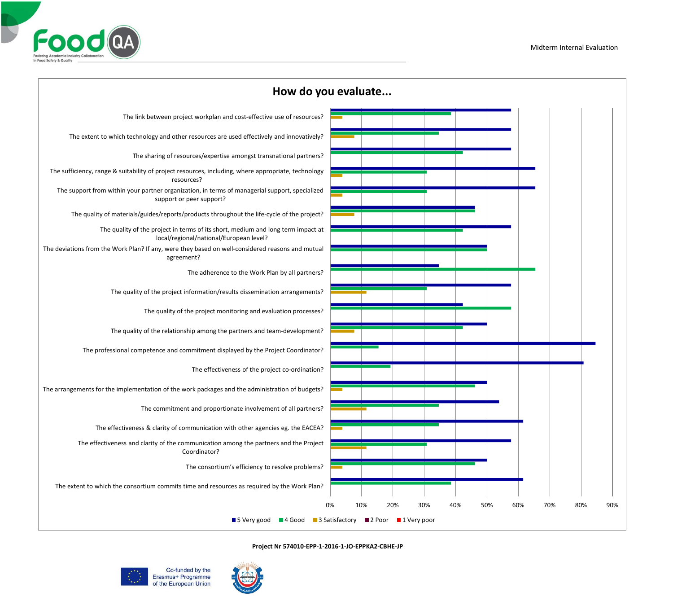